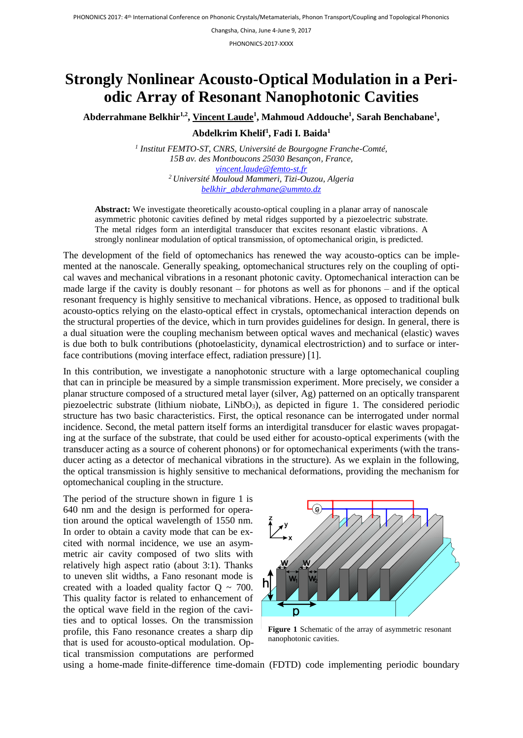Changsha, China, June 4-June 9, 2017

PHONONICS-2017-XXXX

## **Strongly Nonlinear Acousto-Optical Modulation in a Periodic Array of Resonant Nanophotonic Cavities**

Abderrahmane Belkhir<sup>1,2</sup>, <u>Vincent Laude<sup>1</sup>, Mahmoud Addouche<sup>1</sup>, Sarah Benchabane<sup>1</sup>,</u>

**Abdelkrim Khelif<sup>1</sup> , Fadi I. Baida<sup>1</sup>**

*1 Institut FEMTO-ST, CNRS, Université de Bourgogne Franche-Comté, 15B av. des Montboucons 25030 Besançon, France, [vincent.laude@femto-st.fr](mailto:vincent.laude@femto-st.fr) <sup>2</sup>Université Mouloud Mammeri, Tizi-Ouzou, Algeria [belkhir\\_abderahmane@ummto.dz](mailto:belkhir_abderahmane@ummto.dz)*

**Abstract:** We investigate theoretically acousto-optical coupling in a planar array of nanoscale asymmetric photonic cavities defined by metal ridges supported by a piezoelectric substrate. The metal ridges form an interdigital transducer that excites resonant elastic vibrations. A strongly nonlinear modulation of optical transmission, of optomechanical origin, is predicted.

The development of the field of optomechanics has renewed the way acousto-optics can be implemented at the nanoscale. Generally speaking, optomechanical structures rely on the coupling of optical waves and mechanical vibrations in a resonant photonic cavity. Optomechanical interaction can be made large if the cavity is doubly resonant – for photons as well as for phonons – and if the optical resonant frequency is highly sensitive to mechanical vibrations. Hence, as opposed to traditional bulk acousto-optics relying on the elasto-optical effect in crystals, optomechanical interaction depends on the structural properties of the device, which in turn provides guidelines for design. In general, there is a dual situation were the coupling mechanism between optical waves and mechanical (elastic) waves is due both to bulk contributions (photoelasticity, dynamical electrostriction) and to surface or interface contributions (moving interface effect, radiation pressure) [1].

In this contribution, we investigate a nanophotonic structure with a large optomechanical coupling that can in principle be measured by a simple transmission experiment. More precisely, we consider a planar structure composed of a structured metal layer (silver, Ag) patterned on an optically transparent piezoelectric substrate (lithium niobate, LiNbO<sub>3</sub>), as depicted in figure 1. The considered periodic structure has two basic characteristics. First, the optical resonance can be interrogated under normal incidence. Second, the metal pattern itself forms an interdigital transducer for elastic waves propagating at the surface of the substrate, that could be used either for acousto-optical experiments (with the transducer acting as a source of coherent phonons) or for optomechanical experiments (with the transducer acting as a detector of mechanical vibrations in the structure). As we explain in the following, the optical transmission is highly sensitive to mechanical deformations, providing the mechanism for optomechanical coupling in the structure.

The period of the structure shown in figure 1 is 640 nm and the design is performed for operation around the optical wavelength of 1550 nm. In order to obtain a cavity mode that can be excited with normal incidence, we use an asymmetric air cavity composed of two slits with relatively high aspect ratio (about 3:1). Thanks to uneven slit widths, a Fano resonant mode is created with a loaded quality factor  $Q \sim 700$ . This quality factor is related to enhancement of the optical wave field in the region of the cavities and to optical losses. On the transmission profile, this Fano resonance creates a sharp dip that is used for acousto-optical modulation. Optical transmission computations are performed



**Figure 1** Schematic of the array of asymmetric resonant nanophotonic cavities.

using a home-made finite-difference time-domain (FDTD) code implementing periodic boundary